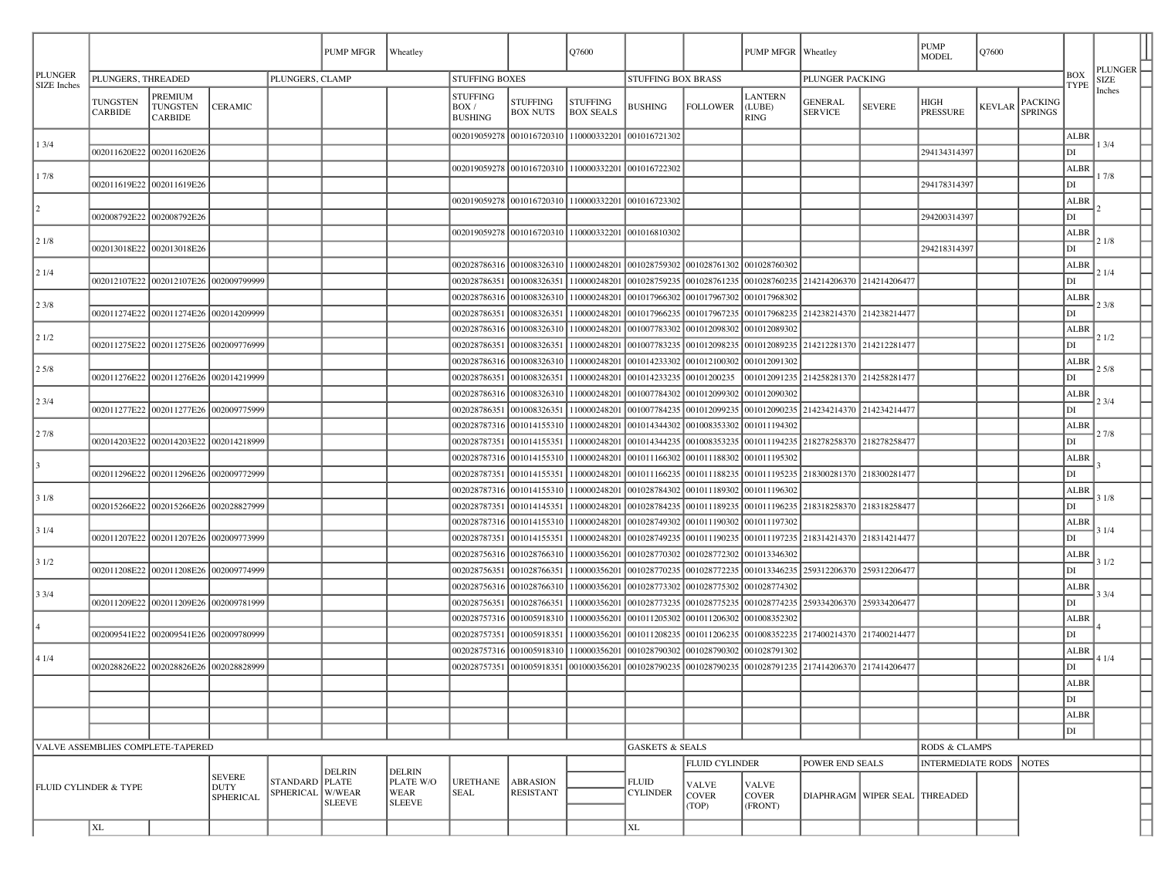|                                      |                                  |                                                     |                                           |                                    | PUMP MFGR     | Wheatley                           |                                            |                                     | Q7600                                               |                                                                  |                              | PUMP MFGR   Wheatley                      |                                                                  |                                   |                                | Q7600         |                                  |                   | PLUNGER $\vdash$ |  |
|--------------------------------------|----------------------------------|-----------------------------------------------------|-------------------------------------------|------------------------------------|---------------|------------------------------------|--------------------------------------------|-------------------------------------|-----------------------------------------------------|------------------------------------------------------------------|------------------------------|-------------------------------------------|------------------------------------------------------------------|-----------------------------------|--------------------------------|---------------|----------------------------------|-------------------|------------------|--|
| <b>PLUNGER</b><br><b>SIZE</b> Inches | PLUNGERS, THREADED               |                                                     |                                           | PLUNGERS, CLAMP                    |               |                                    | <b>STUFFING BOXES</b>                      |                                     | STUFFING BOX BRASS                                  |                                                                  |                              | PLUNGER PACKING                           |                                                                  |                                   |                                | <b>BOX</b>    |                                  | <b>SIZE</b>       |                  |  |
|                                      | TUNGSTEN<br><b>CARBIDE</b>       | <b>PREMIUM</b><br><b>TUNGSTEN</b><br><b>CARBIDE</b> | <b>CERAMIC</b>                            |                                    |               |                                    | <b>STUFFING</b><br>BOX /<br><b>BUSHING</b> | <b>STUFFING</b><br><b>BOX NUTS</b>  | <b>STUFFING</b><br><b>BOX SEALS</b>                 | <b>BUSHING</b>                                                   | <b>FOLLOWER</b>              | LANTERN<br>(LUBE)<br><b>RING</b>          | GENERAL<br><b>SERVICE</b>                                        | <b>SEVERE</b>                     | HIGH<br><b>PRESSURE</b>        | <b>KEVLAR</b> | <b>PACKING</b><br><b>SPRINGS</b> | <b>TYPE</b>       | Inches           |  |
| 13/4                                 |                                  |                                                     |                                           |                                    |               |                                    |                                            |                                     | 002019059278 001016720310 110000332201 001016721302 |                                                                  |                              |                                           |                                                                  |                                   |                                |               |                                  | ALBR              | 13/4             |  |
|                                      | 002011620E22 002011620E26        |                                                     |                                           |                                    |               |                                    |                                            |                                     |                                                     |                                                                  |                              |                                           |                                                                  |                                   | 294134314397                   |               |                                  | DI                |                  |  |
| 17/8                                 |                                  |                                                     |                                           |                                    |               |                                    |                                            |                                     | 002019059278 001016720310 110000332201 001016722302 |                                                                  |                              |                                           |                                                                  |                                   |                                |               |                                  | <b>ALBR</b>       | 17/8             |  |
|                                      | 002011619E22 002011619E26        |                                                     |                                           |                                    |               |                                    |                                            |                                     |                                                     |                                                                  |                              |                                           |                                                                  |                                   | 294178314397                   |               |                                  | DI                |                  |  |
| $\vert$ 2                            |                                  |                                                     |                                           |                                    |               |                                    |                                            |                                     | 002019059278 001016720310 110000332201 001016723302 |                                                                  |                              |                                           |                                                                  |                                   |                                |               |                                  | <b>ALBR</b>       |                  |  |
|                                      | 002008792E22 002008792E26        |                                                     |                                           |                                    |               |                                    |                                            |                                     |                                                     |                                                                  |                              |                                           |                                                                  |                                   | 294200314397                   |               |                                  | DI                |                  |  |
| 21/8                                 |                                  |                                                     |                                           |                                    |               |                                    |                                            |                                     | 002019059278 001016720310 110000332201 001016810302 |                                                                  |                              |                                           |                                                                  |                                   |                                |               |                                  | <b>ALBR</b>       | 21/8             |  |
|                                      | 002013018E22 002013018E26        |                                                     |                                           |                                    |               |                                    |                                            |                                     |                                                     |                                                                  |                              |                                           |                                                                  |                                   | 294218314397                   |               |                                  | DI                |                  |  |
| 21/4                                 |                                  |                                                     |                                           |                                    |               |                                    |                                            |                                     |                                                     | 002028786316 001008326310 110000248201 001028759302 001028761302 |                              | 001028760302                              |                                                                  |                                   |                                |               |                                  | <b>ALBR</b>       | 21/4             |  |
|                                      |                                  | 002012107E22 002012107E26 002009799999              |                                           |                                    |               |                                    |                                            |                                     | 002028786351 001008326351 110000248201              | 001028759235                                                     | 001028761235                 |                                           | 001028760235 214214206370 214214206477                           |                                   |                                |               |                                  | DI                |                  |  |
| 23/8                                 |                                  |                                                     |                                           |                                    |               |                                    |                                            |                                     | 002028786316 001008326310 110000248201              | 001017966302   001017967302   001017968302                       |                              |                                           |                                                                  |                                   |                                |               |                                  | <b>ALBR</b>       | 23/8             |  |
|                                      |                                  | 002011274E22 002011274E26 002014209999              |                                           |                                    |               |                                    | 002028786351                               | 001008326351                        | 110000248201                                        | 001017966235                                                     |                              |                                           | 001017967235 001017968235 214238214370 214238214477              |                                   |                                |               |                                  | DI                |                  |  |
| 21/2                                 |                                  | 002011275E22 002011275E26 002009776999              |                                           |                                    |               |                                    | 002028786351                               |                                     | 002028786316 001008326310 110000248201              | 001007783302<br>001007783235                                     |                              | 001012098302 001012089302<br>001012089235 | 214212281370 214212281477                                        |                                   |                                |               |                                  | <b>ALBR</b><br>DI | 21/2             |  |
|                                      |                                  |                                                     |                                           |                                    |               |                                    |                                            | 001008326351                        | 110000248201<br>110000248201                        | 001014233302                                                     | 001012098235<br>001012100302 | 001012091302                              |                                                                  |                                   |                                |               |                                  |                   |                  |  |
| 25/8                                 |                                  | 002011276E22 002011276E26 002014219999              |                                           |                                    |               |                                    |                                            | 002028786316 001008326310           | 002028786351 001008326351 110000248201              | 001014233235                                                     | 00101200235                  |                                           | 001012091235 214258281370 214258281477                           |                                   |                                |               |                                  | <b>ALBR</b><br>DI | 25/8             |  |
|                                      |                                  |                                                     |                                           |                                    |               |                                    |                                            |                                     | 002028786316 001008326310 110000248201              | 001007784302   001012099302   001012090302                       |                              |                                           |                                                                  |                                   |                                |               |                                  | <b>ALBR</b>       |                  |  |
| 23/4                                 |                                  | 002011277E22 002011277E26 002009775999              |                                           |                                    |               |                                    | 002028786351                               | 001008326351                        | 110000248201                                        | 001007784235                                                     |                              |                                           | 001012099235 001012090235 214234214370 214234214477              |                                   |                                |               |                                  | DI                | 23/4             |  |
|                                      |                                  |                                                     |                                           |                                    |               |                                    |                                            | 002028787316 001014155310           | 110000248201                                        | 001014344302                                                     | 001008353302                 | 001011194302                              |                                                                  |                                   |                                |               |                                  | ALBR              |                  |  |
| 27/8                                 |                                  | 002014203E22 002014203E22 002014218999              |                                           |                                    |               |                                    | 002028787351                               | 001014155351                        | 110000248201                                        | 001014344235                                                     | 001008353235                 | 001011194235                              | 218278258370 218278258477                                        |                                   |                                |               |                                  | DI                | 27/8             |  |
|                                      |                                  |                                                     |                                           |                                    |               |                                    |                                            | 002028787316 001014155310           | 110000248201                                        | 001011166302                                                     | 001011188302                 | 001011195302                              |                                                                  |                                   |                                |               |                                  | <b>ALBR</b>       |                  |  |
| $\begin{array}{c} \end{array}$       |                                  | 002011296E22 002011296E26 002009772999              |                                           |                                    |               |                                    |                                            | 002028787351 001014155351           | 110000248201                                        | 001011166235                                                     | 001011188235                 | 001011195235                              | 218300281370 218300281477                                        |                                   |                                |               |                                  | DI                |                  |  |
|                                      |                                  |                                                     |                                           |                                    |               |                                    |                                            |                                     | 002028787316 001014155310 110000248201              | 001028784302   001011189302   001011196302                       |                              |                                           |                                                                  |                                   |                                |               |                                  | <b>ALBR</b>       |                  |  |
| 31/8                                 |                                  | 002015266E22 002015266E26 002028827999              |                                           |                                    |               |                                    | 002028787351                               | 001014145351                        | 110000248201                                        | 001028784235                                                     | 001011189235                 |                                           | 001011196235 218318258370 218318258477                           |                                   |                                |               |                                  | DI                | 31/8             |  |
|                                      |                                  |                                                     |                                           |                                    |               |                                    |                                            | 002028787316 001014155310           | 110000248201                                        | 001028749302                                                     | 001011190302                 | 001011197302                              |                                                                  |                                   |                                |               |                                  | ALBR              |                  |  |
| 31/4                                 |                                  | 002011207E22 002011207E26 002009773999              |                                           |                                    |               |                                    | 002028787351                               | 001014155351                        | 110000248201                                        | 001028749235                                                     | 001011190235                 | 001011197235                              | 218314214370 218314214477                                        |                                   |                                |               |                                  | DI                | 31/4             |  |
|                                      |                                  |                                                     |                                           |                                    |               |                                    | 002028756316 001028766310                  |                                     | 110000356201                                        | 001028770302                                                     | 001028772302                 | 001013346302                              |                                                                  |                                   |                                |               |                                  | <b>ALBR</b>       |                  |  |
| 31/2                                 |                                  | 002011208E22 002011208E26 002009774999              |                                           |                                    |               |                                    |                                            |                                     | 002028756351 001028766351 110000356201              | 001028770235                                                     | 001028772235                 | 001013346235                              | 259312206370 259312206477                                        |                                   |                                |               |                                  | DI                | 3 1/2            |  |
|                                      |                                  |                                                     |                                           |                                    |               |                                    |                                            |                                     | 002028756316 001028766310 110000356201              | 001028773302 001028775302 001028774302                           |                              |                                           |                                                                  |                                   |                                |               |                                  | <b>ALBR</b>       |                  |  |
| 33/4                                 |                                  | 002011209E22 002011209E26 002009781999              |                                           |                                    |               |                                    | 002028756351                               | 001028766351                        | 110000356201                                        |                                                                  |                              |                                           | 001028773235 001028775235 001028774235 259334206370 259334206477 |                                   |                                |               |                                  | DI                | 33/4             |  |
|                                      |                                  |                                                     |                                           |                                    |               |                                    |                                            | 002028757316 001005918310           | 110000356201                                        | 001011205302                                                     |                              | 001011206302 001008352302                 |                                                                  |                                   |                                |               |                                  | ALBR              |                  |  |
| 4                                    |                                  | 002009541E22 002009541E26 002009780999              |                                           |                                    |               |                                    | 002028757351                               | 001005918351                        | 110000356201                                        | 001011208235                                                     | 001011206235                 | 001008352235                              | 217400214370 217400214477                                        |                                   |                                |               |                                  | DI                |                  |  |
|                                      |                                  |                                                     |                                           |                                    |               |                                    | 002028757316                               | 001005918310                        | 110000356201                                        | 001028790302                                                     | 001028790302                 | 001028791302                              |                                                                  |                                   |                                |               |                                  | <b>ALBR</b>       |                  |  |
| 41/4                                 |                                  | 002028826E22 002028826E26 002028828999              |                                           |                                    |               |                                    |                                            |                                     | 002028757351 001005918351 001000356201              | 001028790235 001028790235                                        |                              | 001028791235                              | 217414206370 217414206477                                        |                                   |                                |               |                                  | DI                | 4 1/4            |  |
|                                      |                                  |                                                     |                                           |                                    |               |                                    |                                            |                                     |                                                     |                                                                  |                              |                                           |                                                                  |                                   |                                |               |                                  | <b>ALBR</b>       |                  |  |
|                                      |                                  |                                                     |                                           |                                    |               |                                    |                                            |                                     |                                                     |                                                                  |                              |                                           |                                                                  |                                   |                                |               |                                  | DI                |                  |  |
|                                      |                                  |                                                     |                                           |                                    |               |                                    |                                            |                                     |                                                     |                                                                  |                              |                                           |                                                                  |                                   |                                |               |                                  | <b>ALBR</b>       |                  |  |
|                                      |                                  |                                                     |                                           |                                    |               |                                    |                                            |                                     |                                                     |                                                                  |                              |                                           |                                                                  |                                   |                                |               |                                  | Ы                 |                  |  |
| VALVE ASSEMBLIES COMPLETE-TAPERED    |                                  |                                                     |                                           |                                    |               |                                    |                                            |                                     |                                                     | <b>GASKETS &amp; SEALS</b>                                       |                              |                                           |                                                                  |                                   | RODS & CLAMPS                  |               |                                  |                   |                  |  |
|                                      |                                  |                                                     |                                           |                                    |               |                                    |                                            |                                     |                                                     |                                                                  | <b>FLUID CYLINDER</b>        |                                           | POWER END SEALS                                                  |                                   | <b>INTERMEDIATE RODS NOTES</b> |               |                                  |                   |                  |  |
|                                      | <b>FLUID CYLINDER &amp; TYPE</b> |                                                     | <b>SEVERE</b><br><b>DUTY</b><br>SPHERICAL | STANDARD PLATE<br>SPHERICAL W/WEAR | <b>DELRIN</b> | <b>DELRIN</b><br>PLATE W/O<br>WEAR | <b>URETHANE</b><br><b>SEAL</b>             | <b>ABRASION</b><br><b>RESISTANT</b> |                                                     | <b>FLUID</b><br><b>CYLINDER</b>                                  | <b>VALVE</b><br><b>COVER</b> | <b>VALVE</b><br><b>COVER</b>              |                                                                  | DIAPHRAGM   WIPER SEAL   THREADED |                                |               |                                  |                   |                  |  |
|                                      |                                  |                                                     |                                           |                                    | <b>SLEEVE</b> | <b>SLEEVE</b>                      |                                            |                                     |                                                     |                                                                  | (TOP)                        | (FRONT)                                   |                                                                  |                                   |                                |               |                                  |                   |                  |  |
|                                      | XL                               |                                                     |                                           |                                    |               |                                    |                                            |                                     |                                                     | $\mathbf{XL}$                                                    |                              |                                           |                                                                  |                                   |                                |               |                                  |                   |                  |  |